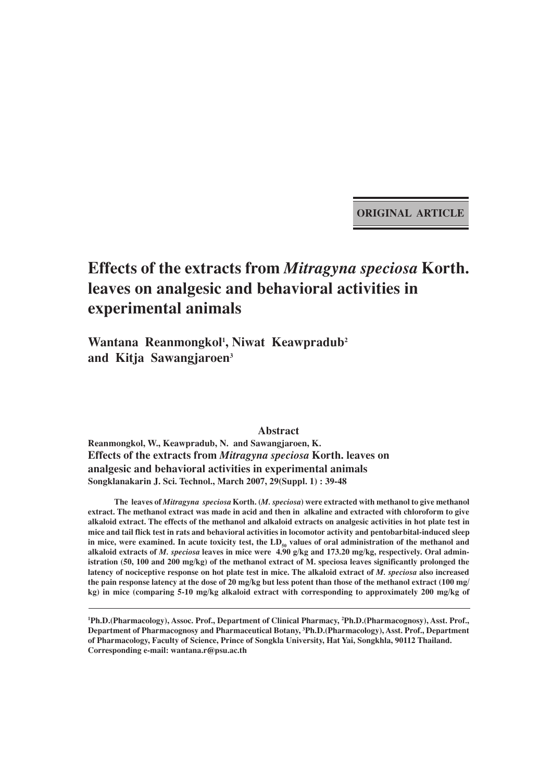**ORIGINAL ARTICLE**

# **Effects of the extracts from** *Mitragyna speciosa* **Korth. leaves on analgesic and behavioral activities in experimental animals**

**Wantana Reanmongkol1 , Niwat Keawpradub2 and Kitja Sawangjaroen3**

**Abstract Reanmongkol, W., Keawpradub, N. and Sawangjaroen, K. Effects of the extracts from** *Mitragyna speciosa* **Korth. leaves on analgesic and behavioral activities in experimental animals Songklanakarin J. Sci. Technol., March 2007, 29(Suppl. 1) : 39-48**

**The leaves of** *Mitragyna speciosa* **Korth. (***M. speciosa***) were extracted with methanol to give methanol extract. The methanol extract was made in acid and then in alkaline and extracted with chloroform to give alkaloid extract. The effects of the methanol and alkaloid extracts on analgesic activities in hot plate test in mice and tail flick test in rats and behavioral activities in locomotor activity and pentobarbital-induced sleep** in mice, were examined. In acute toxicity test, the LD<sub>50</sub> values of oral administration of the methanol and **alkaloid extracts of** *M. speciosa* **leaves in mice were 4.90 g/kg and 173.20 mg/kg, respectively. Oral administration (50, 100 and 200 mg/kg) of the methanol extract of M. speciosa leaves significantly prolonged the latency of nociceptive response on hot plate test in mice. The alkaloid extract of** *M. speciosa* **also increased the pain response latency at the dose of 20 mg/kg but less potent than those of the methanol extract (100 mg/ kg) in mice (comparing 5-10 mg/kg alkaloid extract with corresponding to approximately 200 mg/kg of**

**1 Ph.D.(Pharmacology), Assoc. Prof., Department of Clinical Pharmacy, 2 Ph.D.(Pharmacognosy), Asst. Prof., Department of Pharmacognosy and Pharmaceutical Botany, 3 Ph.D.(Pharmacology), Asst. Prof., Department of Pharmacology, Faculty of Science, Prince of Songkla University, Hat Yai, Songkhla, 90112 Thailand. Corresponding e-mail: wantana.r@psu.ac.th**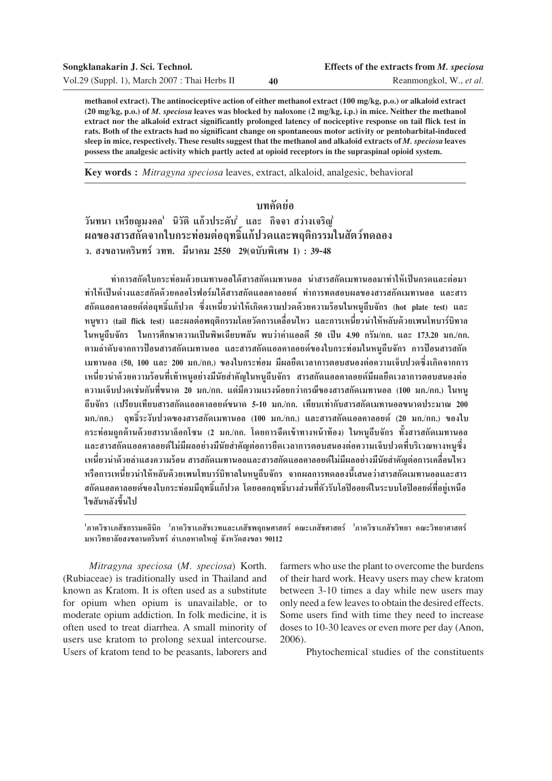| Songklanakarin J. Sci. Technol.               | Effects of the extracts from M. speciosa |                         |  |
|-----------------------------------------------|------------------------------------------|-------------------------|--|
| Vol.29 (Suppl. 1), March 2007 : Thai Herbs II | 40                                       | Reanmongkol, W., et al. |  |

**methanol extract). The antinociceptive action of either methanol extract (100 mg/kg, p.o.) or alkaloid extract (20 mg/kg, p.o.) of** *M. speciosa* **leaves was blocked by naloxone (2 mg/kg, i.p.) in mice. Neither the methanol extract nor the alkaloid extract significantly prolonged latency of nociceptive response on tail flick test in rats. Both of the extracts had no significant change on spontaneous motor activity or pentobarbital-induced** sleep in mice, respectively. These results suggest that the methanol and alkaloid extracts of *M. speciosa* leaves **possess the analgesic activity which partly acted at opioid receptors in the supraspinal opioid system.**

**Key words :** *Mitragyna speciosa* leaves, extract, alkaloid, analgesic, behavioral

# ำเทคัดย่ค

วันทนา เหรียญมงคล นิวัติ แก้วประดับ ้ และ กิจจา สว่างเจริญ*ี*่ • ผลของสารสกัดจากใบกระท่อมต่อฤทธิ์แก้ปวดและพฤติกรรมในสัตว์ทดลอง ึว. สงขลานครินทร์ วทท. มีนาคม 2550 29(ฉบับพิเศษ 1) : 39-48

์ ทำการสกัดใบกระท่อมด้วยเมทานอลได้สารสกัดเมทานอล นำสารสกัดเมทานอลมาทำให้เป็นกรดและต่อมา ทำให้เป็นด่างและสกัดด้วยคลอโรฟอร์มได้สารสกัดแอลคาลอยด์ ทำการทดสอบผลของสารสกัดเมทานอล และสาร ิสกัดแอลคาลอยด์ต่อถุทธิ์แก้ปวด ซึ่งเหนี่ยวนำให้เกิดความปวดด้วยความร้อนในหนถีบจักร (hot plate test) และ ำหนขาว (tail flick test) และผลต่อพฤติกรรมโดยวัดการเคลื่อนไหว และการเหนี่ยวนำให้หลับด้วยเพนโทบาร์บิทาล ในหนูถีบจักร ในการศึกษาความเป็นพิษเฉียบพลัน พบว่าค่าแอลดี 50 เป็น 4.90 กรัม/กก. และ 173.20 มก./กก. ตามลำดับจากการป้อนสารสกัดเมทานอล และสารสกัดแอลคาลอยด์ของใบกระท่อมในหนูถีบจักร การป้อนสารสกัด ้ เมทานอล (50, 100 และ 200 มก./กก.) ของใบกระท่อม มีผลยืดเวลาการตอบสนองต่อความเจ็บปวดซึ่งเกิดจากการ ึ เหนี่ยวนำด้วยความร้อนที่เท้าหนูอย่างมีนัยสำคัญในหนูถีบจักร สารสกัดแอลคาลอยด์มีผลยืดเวลาการตอบสนองต่อ ึ ความเจ็บปวดเช่นกันที่ขนาด 20 มก./กก. แต่มีความแรงน้อยกว่ากรณีของสารสกัดเมทานอล (100 มก./กก.) ในหน ์ถีบจักร (เปรียบเทียบสารสกัดแอลคาลอยด์ขนาด 5-10 มก./กก. เทียบเท่ากับสารสกัดเมทานอลขนาดประมาณ 200 ึ่มก./กก.) ฤทธิ์ระงับปวดของสารสกัดเมทานอล (100 มก./กก.) และสารสกัดแอลคาลอยด์ (20 มก./กก.) ของใบ ึกระท่อมถกต้านด้วยสารนาล็อกโซน (2 มก./กก. โดยการฉีดเข้าทางหน้าท้อง) ในหนถีบจักร ทั้งสารสกัดเมทานอล **·≈– "√ °—¥·Õ≈§"≈Õ¬¥å‰¡à¡'º≈Õ¬à"ß¡'π—¬ "§—≠µàÕ°"√¬◊¥‡«≈"°"√µÕ∫ πÕßµàÕ§«"¡‡®Á∫ª«¥∑'Ë∫√'‡«≥À"ßÀπŸ´÷Ëß** ้ เหนี่ยวนำด้วยลำแสงความร้อน สารสกัดเมทานอลและสารสกัดแอลคาลอยด์ไม่มีผลอย่างมีนัยสำคัญต่อการเคลื่อนไหว ำเรือการเหนี่ยวนำให้หลับด้วยเพนโทบาร์บิทาลในหนถีบจักร จากผลการทดลองนี้เสนอว่าสารสกัดเมทานอลและสาร ิสกัดแอลคาลอยด์ของใบกระท่อมมีฤทธิ์แก้ปวด โดยออกฤทธิ์บางส่วนที่ตัวรับโอปิออยด์ในระบบโอปิออยด์ที่อยู่เหนือ ้ไขสันหลังขึ้นไป

 $^{\mathsf{1}}$ ภาควิชาเภสัชกรรมคลินิก  $^{\mathsf{2}}$ ภาควิชาเภสัชเวทและเภสัชพฤกษศาสตร์ คณะเภสัชศาสตร์ <sup>3</sup>ภาควิชาเภสัชวิทยา คณะวิทยาศาสตร์ มหาวิทยาลัยสงขลานครินทร์ อำเภอหาดใหญ่ จังหวัดสงขลา 90112

*Mitragyna speciosa* (*M. speciosa*) Korth. (Rubiaceae) is traditionally used in Thailand and known as Kratom. It is often used as a substitute for opium when opium is unavailable, or to moderate opium addiction. In folk medicine, it is often used to treat diarrhea. A small minority of users use kratom to prolong sexual intercourse. Users of kratom tend to be peasants, laborers and

farmers who use the plant to overcome the burdens of their hard work. Heavy users may chew kratom between 3-10 times a day while new users may only need a few leaves to obtain the desired effects. Some users find with time they need to increase doses to 10-30 leaves or even more per day (Anon, 2006).

Phytochemical studies of the constituents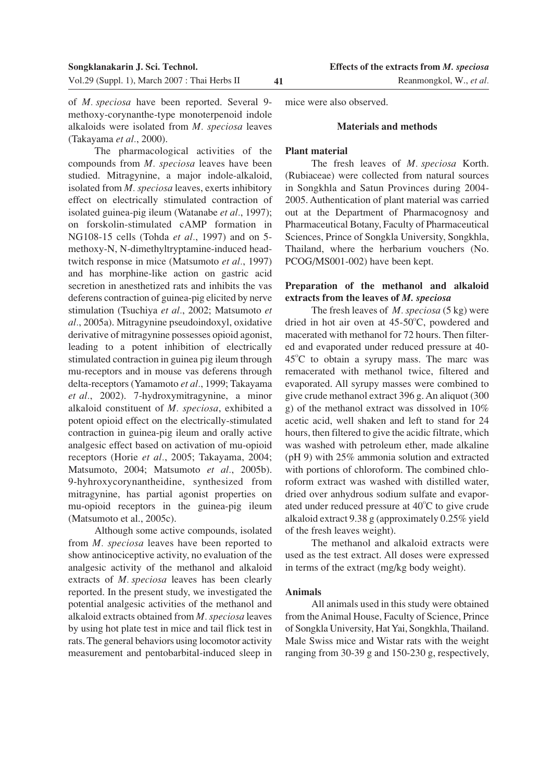of *M. speciosa* have been reported. Several 9 methoxy-corynanthe-type monoterpenoid indole alkaloids were isolated from *M. speciosa* leaves (Takayama *et al.*, 2000).

The pharmacological activities of the compounds from *M. speciosa* leaves have been studied. Mitragynine, a major indole-alkaloid, isolated from *M. speciosa* leaves, exerts inhibitory effect on electrically stimulated contraction of isolated guinea-pig ileum (Watanabe *et al.*, 1997); on forskolin-stimulated cAMP formation in NG108-15 cells (Tohda *et al.*, 1997) and on 5 methoxy-N, N-dimethyltryptamine-induced headtwitch response in mice (Matsumoto *et al.*, 1997) and has morphine-like action on gastric acid secretion in anesthetized rats and inhibits the vas deferens contraction of guinea-pig elicited by nerve stimulation (Tsuchiya *et al.*, 2002; Matsumoto *et al.*, 2005a). Mitragynine pseudoindoxyl, oxidative derivative of mitragynine possesses opioid agonist, leading to a potent inhibition of electrically stimulated contraction in guinea pig ileum through mu-receptors and in mouse vas deferens through delta-receptors (Yamamoto *et al.*, 1999; Takayama *et al.*, 2002). 7-hydroxymitragynine, a minor alkaloid constituent of *M. speciosa*, exhibited a potent opioid effect on the electrically-stimulated contraction in guinea-pig ileum and orally active analgesic effect based on activation of mu-opioid receptors (Horie *et al.*, 2005; Takayama, 2004; Matsumoto, 2004; Matsumoto *et al.*, 2005b). 9-hyhroxycorynantheidine, synthesized from mitragynine, has partial agonist properties on mu-opioid receptors in the guinea-pig ileum (Matsumoto et al., 2005c).

Although some active compounds, isolated from *M. speciosa* leaves have been reported to show antinociceptive activity, no evaluation of the analgesic activity of the methanol and alkaloid extracts of *M. speciosa* leaves has been clearly reported. In the present study, we investigated the potential analgesic activities of the methanol and alkaloid extracts obtained from *M. speciosa* leaves by using hot plate test in mice and tail flick test in rats. The general behaviors using locomotor activity measurement and pentobarbital-induced sleep in mice were also observed.

#### **Materials and methods**

#### **Plant material**

The fresh leaves of *M. speciosa* Korth. (Rubiaceae) were collected from natural sources in Songkhla and Satun Provinces during 2004- 2005. Authentication of plant material was carried out at the Department of Pharmacognosy and Pharmaceutical Botany, Faculty of Pharmaceutical Sciences, Prince of Songkla University, Songkhla, Thailand, where the herbarium vouchers (No. PCOG/MS001-002) have been kept.

## **Preparation of the methanol and alkaloid extracts from the leaves of** *M. speciosa*

The fresh leaves of *M. speciosa* (5 kg) were dried in hot air oven at  $45-50^{\circ}$ C, powdered and macerated with methanol for 72 hours. Then filtered and evaporated under reduced pressure at 40-  $45^{\circ}$ C to obtain a syrupy mass. The marc was remacerated with methanol twice, filtered and evaporated. All syrupy masses were combined to give crude methanol extract 396 g. An aliquot (300 g) of the methanol extract was dissolved in 10% acetic acid, well shaken and left to stand for 24 hours, then filtered to give the acidic filtrate, which was washed with petroleum ether, made alkaline (pH 9) with 25% ammonia solution and extracted with portions of chloroform. The combined chloroform extract was washed with distilled water, dried over anhydrous sodium sulfate and evaporated under reduced pressure at  $40^{\circ}$ C to give crude alkaloid extract 9.38 g (approximately 0.25% yield of the fresh leaves weight).

The methanol and alkaloid extracts were used as the test extract. All doses were expressed in terms of the extract (mg/kg body weight).

#### **Animals**

All animals used in this study were obtained from the Animal House, Faculty of Science, Prince of Songkla University, Hat Yai, Songkhla, Thailand. Male Swiss mice and Wistar rats with the weight ranging from 30-39 g and 150-230 g, respectively,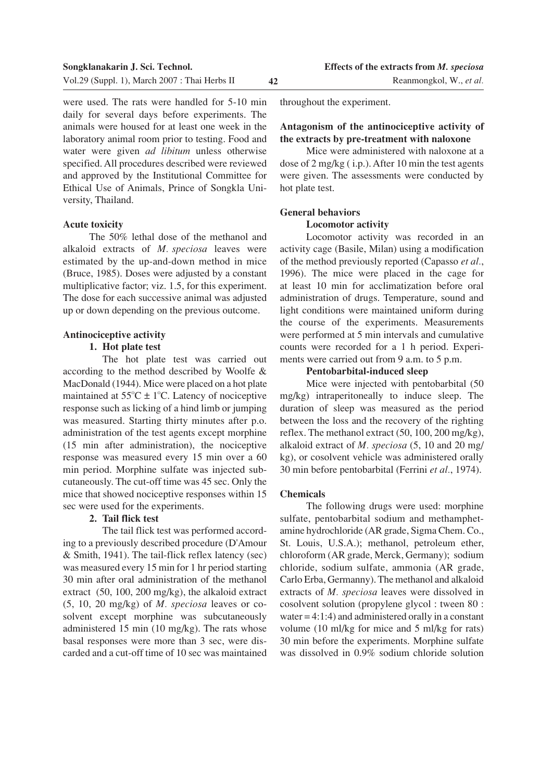were used. The rats were handled for 5-10 min daily for several days before experiments. The animals were housed for at least one week in the laboratory animal room prior to testing. Food and water were given *ad libitum* unless otherwise specified. All procedures described were reviewed and approved by the Institutional Committee for Ethical Use of Animals, Prince of Songkla University, Thailand.

#### **Acute toxicity**

The 50% lethal dose of the methanol and alkaloid extracts of *M. speciosa* leaves were estimated by the up-and-down method in mice (Bruce, 1985). Doses were adjusted by a constant multiplicative factor; viz. 1.5, for this experiment. The dose for each successive animal was adjusted up or down depending on the previous outcome.

## **Antinociceptive activity**

## **1. Hot plate test**

The hot plate test was carried out according to the method described by Woolfe & MacDonald (1944). Mice were placed on a hot plate maintained at  $55^{\circ}$ C  $\pm$  1<sup>o</sup>C. Latency of nociceptive response such as licking of a hind limb or jumping was measured. Starting thirty minutes after p.o. administration of the test agents except morphine (15 min after administration), the nociceptive response was measured every 15 min over a 60 min period. Morphine sulfate was injected subcutaneously. The cut-off time was 45 sec. Only the mice that showed nociceptive responses within 15 sec were used for the experiments.

## **2. Tail flick test**

The tail flick test was performed according to a previously described procedure (D'Amour & Smith, 1941). The tail-flick reflex latency (sec) was measured every 15 min for 1 hr period starting 30 min after oral administration of the methanol extract (50, 100, 200 mg/kg), the alkaloid extract (5, 10, 20 mg/kg) of *M. speciosa* leaves or cosolvent except morphine was subcutaneously administered 15 min (10 mg/kg). The rats whose basal responses were more than 3 sec, were discarded and a cut-off time of 10 sec was maintained

throughout the experiment.

## **Antagonism of the antinociceptive activity of the extracts by pre-treatment with naloxone**

Mice were administered with naloxone at a dose of 2 mg/kg ( i.p.). After 10 min the test agents were given. The assessments were conducted by hot plate test.

## **General behaviors**

#### **Locomotor activity**

Locomotor activity was recorded in an activity cage (Basile, Milan) using a modification of the method previously reported (Capasso *et al.*, 1996). The mice were placed in the cage for at least 10 min for acclimatization before oral administration of drugs. Temperature, sound and light conditions were maintained uniform during the course of the experiments. Measurements were performed at 5 min intervals and cumulative counts were recorded for a 1 h period. Experiments were carried out from 9 a.m. to 5 p.m.

#### **Pentobarbital-induced sleep**

Mice were injected with pentobarbital (50 mg/kg) intraperitoneally to induce sleep. The duration of sleep was measured as the period between the loss and the recovery of the righting reflex. The methanol extract (50, 100, 200 mg/kg), alkaloid extract of *M. speciosa* (5, 10 and 20 mg/ kg), or cosolvent vehicle was administered orally 30 min before pentobarbital (Ferrini *et al.*, 1974).

## **Chemicals**

The following drugs were used: morphine sulfate, pentobarbital sodium and methamphetamine hydrochloride (AR grade, Sigma Chem. Co., St. Louis, U.S.A.); methanol, petroleum ether, chloroform (AR grade, Merck, Germany); sodium chloride, sodium sulfate, ammonia (AR grade, Carlo Erba, Germanny). The methanol and alkaloid extracts of *M. speciosa* leaves were dissolved in cosolvent solution (propylene glycol : tween 80 : water  $= 4:1:4$ ) and administered orally in a constant volume (10 ml/kg for mice and 5 ml/kg for rats) 30 min before the experiments. Morphine sulfate was dissolved in 0.9% sodium chloride solution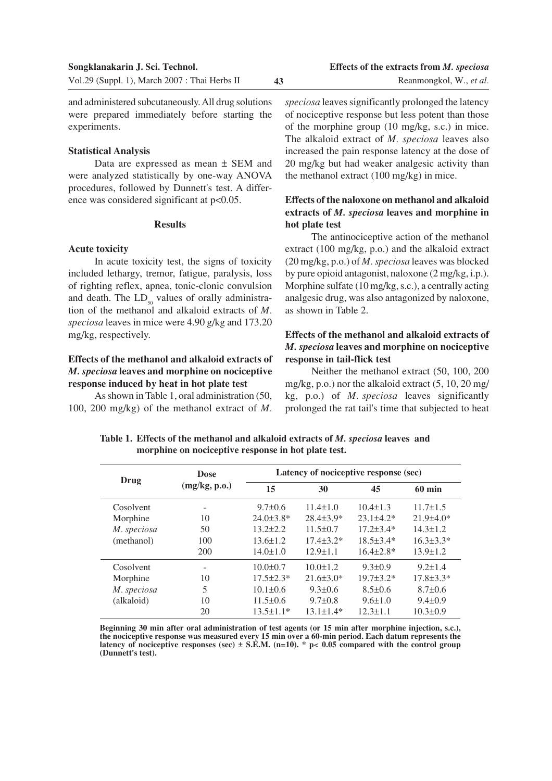#### **Statistical Analysis**

experiments.

Data are expressed as mean ± SEM and were analyzed statistically by one-way ANOVA procedures, followed by Dunnett's test. A difference was considered significant at  $p<0.05$ .

#### **Results**

#### **Acute toxicity**

In acute toxicity test, the signs of toxicity included lethargy, tremor, fatigue, paralysis, loss of righting reflex, apnea, tonic-clonic convulsion and death. The  $LD_{so}$  values of orally administration of the methanol and alkaloid extracts of *M. speciosa* leaves in mice were 4.90 g/kg and 173.20 mg/kg, respectively.

# **Effects of the methanol and alkaloid extracts of** *M. speciosa* **leaves and morphine on nociceptive response induced by heat in hot plate test**

As shown in Table 1, oral administration (50, 100, 200 mg/kg) of the methanol extract of *M.* *speciosa* leaves significantly prolonged the latency of nociceptive response but less potent than those of the morphine group (10 mg/kg, s.c.) in mice. The alkaloid extract of *M. speciosa* leaves also increased the pain response latency at the dose of 20 mg/kg but had weaker analgesic activity than the methanol extract (100 mg/kg) in mice.

# **Effects of the naloxone on methanol and alkaloid extracts of** *M. speciosa* **leaves and morphine in hot plate test**

The antinociceptive action of the methanol extract (100 mg/kg, p.o.) and the alkaloid extract (20 mg/kg, p.o.) of *M. speciosa* leaves was blocked by pure opioid antagonist, naloxone (2 mg/kg, i.p.). Morphine sulfate (10 mg/kg, s.c.), a centrally acting analgesic drug, was also antagonized by naloxone, as shown in Table 2.

# **Effects of the methanol and alkaloid extracts of** *M. speciosa* **leaves and morphine on nociceptive response in tail-flick test**

Neither the methanol extract (50, 100, 200 mg/kg, p.o.) nor the alkaloid extract (5, 10, 20 mg/ kg, p.o.) of *M. speciosa* leaves significantly prolonged the rat tail's time that subjected to heat

**Drug** Dose Latency of nociceptive response (sec)<br>  $(mg/kg, p.o.)$   $\frac{Latency \ of \ noccepitive \ response \ (sec)}{30}$ **15 30 45 60 min** Cosolvent - 9.7±0.6 11.4±1.0 10.4±1.3 11.7±1.5 Morphine 10 24.0±3.8\* 28.4±3.9\* 23.1±4.2\* 21.9±4.0\* *M. speciosa* 50 13.2±2.2 11.5±0.7 17.2±3.4\* 14.3±1.2 (methanol) 100 13.6±1.2 17.4±3.2\* 18.5±3.4\* 16.3±3.3\* 200 14.0±1.0 12.9±1.1 16.4±2.8\* 13.9±1.2 Cosolvent -  $10.0 \pm 0.7$   $10.0 \pm 1.2$   $9.3 \pm 0.9$   $9.2 \pm 1.4$ Morphine 10 17.5±2.3\* 21.6±3.0\* 19.7±3.2\* 17.8±3.3\* *M. speciosa* 5 10.1±0.6 9.3±0.6 8.5±0.6 8.7±0.6 (alkaloid) 10 11.5±0.6 9.7±0.8 9.6±1.0 9.4±0.9 20 13.5±1.1\* 13.1±1.4\* 12.3±1.1 10.3±0.9 **Dose (mg/kg, p.o.)**

**Table 1. Effects of the methanol and alkaloid extracts of** *M. speciosa* **leaves and morphine on nociceptive response in hot plate test.**

**Beginning 30 min after oral administration of test agents (or 15 min after morphine injection, s.c.), the nociceptive response was measured every 15 min over a 60-min period. Each datum represents the latency of nociceptive responses (sec) ± S.E.M. (n=10). \* p< 0.05 compared with the control group (Dunnett's test).**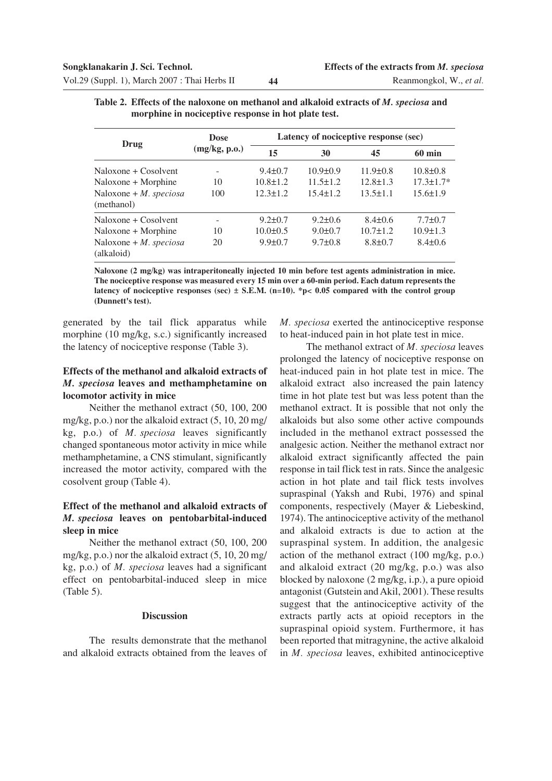|                                         | <b>Dose</b>   | Latency of nociceptive response (sec) |                |                |                  |
|-----------------------------------------|---------------|---------------------------------------|----------------|----------------|------------------|
| Drug                                    | (mg/kg, p.o.) | 15                                    | 30             | 45             | $60 \text{ min}$ |
| Naloxone + Cosolvent                    |               | $9.4 \pm 0.7$                         | $10.9 \pm 0.9$ | $11.9 \pm 0.8$ | $10.8 \pm 0.8$   |
| Naloxone + Morphine                     | 10            | $10.8 \pm 1.2$                        | $11.5 \pm 1.2$ | $12.8 \pm 1.3$ | $17.3 \pm 1.7*$  |
| Naloxone + $M$ . speciosa<br>(methanol) | 100           | $12.3 \pm 1.2$                        | $15.4 \pm 1.2$ | $13.5 \pm 1.1$ | $15.6 \pm 1.9$   |
| Naloxone + Cosolvent                    |               | $9.2 \pm 0.7$                         | $9.2 \pm 0.6$  | $8.4 \pm 0.6$  | $7.7 \pm 0.7$    |
| Naloxone + Morphine                     | 10            | $10.0 \pm 0.5$                        | $9.0 \pm 0.7$  | $10.7 \pm 1.2$ | $10.9 \pm 1.3$   |
| Naloxone + $M.$ speciosa<br>(alkaloid)  | 20            | $9.9 \pm 0.7$                         | $9.7 \pm 0.8$  | $8.8 \pm 0.7$  | $8.4 \pm 0.6$    |

| Table 2. Effects of the naloxone on methanol and alkaloid extracts of M. speciosa and |  |  |
|---------------------------------------------------------------------------------------|--|--|
| morphine in nociceptive response in hot plate test.                                   |  |  |

**Naloxone (2 mg/kg) was intraperitoneally injected 10 min before test agents administration in mice. The nociceptive response was measured every 15 min over a 60-min period. Each datum represents the latency of nociceptive responses (sec) ± S.E.M. (n=10). \*p< 0.05 compared with the control group (Dunnett's test).**

generated by the tail flick apparatus while morphine (10 mg/kg, s.c.) significantly increased the latency of nociceptive response (Table 3).

## **Effects of the methanol and alkaloid extracts of** *M. speciosa* **leaves and methamphetamine on locomotor activity in mice**

Neither the methanol extract (50, 100, 200 mg/kg, p.o.) nor the alkaloid extract (5, 10, 20 mg/ kg, p.o.) of *M. speciosa* leaves significantly changed spontaneous motor activity in mice while methamphetamine, a CNS stimulant, significantly increased the motor activity, compared with the cosolvent group (Table 4).

# **Effect of the methanol and alkaloid extracts of** *M. speciosa* **leaves on pentobarbital-induced sleep in mice**

Neither the methanol extract (50, 100, 200 mg/kg, p.o.) nor the alkaloid extract (5, 10, 20 mg/ kg, p.o.) of *M. speciosa* leaves had a significant effect on pentobarbital-induced sleep in mice (Table 5).

## **Discussion**

The results demonstrate that the methanol and alkaloid extracts obtained from the leaves of *M. speciosa* exerted the antinociceptive response to heat-induced pain in hot plate test in mice.

The methanol extract of *M. speciosa* leaves prolonged the latency of nociceptive response on heat-induced pain in hot plate test in mice. The alkaloid extract also increased the pain latency time in hot plate test but was less potent than the methanol extract. It is possible that not only the alkaloids but also some other active compounds included in the methanol extract possessed the analgesic action. Neither the methanol extract nor alkaloid extract significantly affected the pain response in tail flick test in rats. Since the analgesic action in hot plate and tail flick tests involves supraspinal (Yaksh and Rubi, 1976) and spinal components, respectively (Mayer & Liebeskind, 1974). The antinociceptive activity of the methanol and alkaloid extracts is due to action at the supraspinal system. In addition, the analgesic action of the methanol extract (100 mg/kg, p.o.) and alkaloid extract (20 mg/kg, p.o.) was also blocked by naloxone (2 mg/kg, i.p.), a pure opioid antagonist (Gutstein and Akil, 2001). These results suggest that the antinociceptive activity of the extracts partly acts at opioid receptors in the supraspinal opioid system. Furthermore, it has been reported that mitragynine, the active alkaloid in *M. speciosa* leaves, exhibited antinociceptive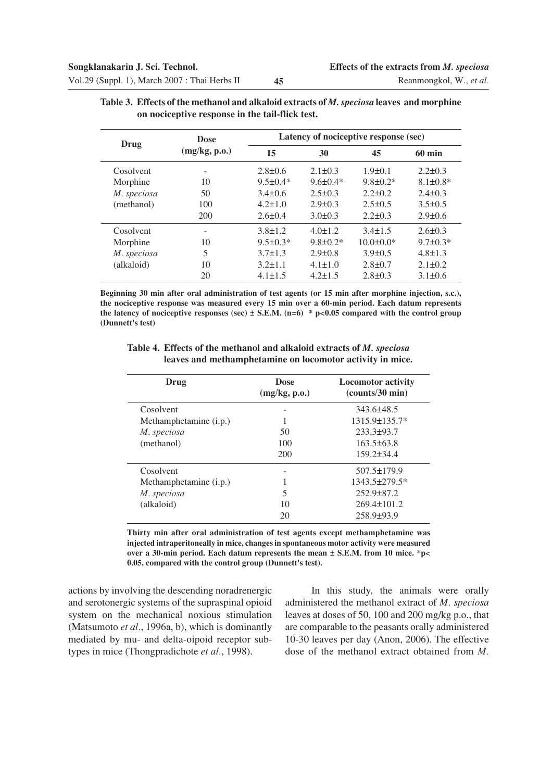| Drug        | <b>Dose</b>   | Latency of nociceptive response (sec) |                 |                 |                  |
|-------------|---------------|---------------------------------------|-----------------|-----------------|------------------|
|             | (mg/kg, p.o.) | 15                                    | 30              | 45              | $60 \text{ min}$ |
| Cosolvent   |               | $2.8 \pm 0.6$                         | $2.1 \pm 0.3$   | $1.9 \pm 0.1$   | $2.2 \pm 0.3$    |
| Morphine    | 10            | $9.5 \pm 0.4*$                        | $9.6 \pm 0.4*$  | $9.8 \pm 0.2$ * | $8.1 \pm 0.8*$   |
| M. speciosa | 50            | $3.4 \pm 0.6$                         | $2.5 \pm 0.3$   | $2.2 \pm 0.2$   | $2.4 \pm 0.3$    |
| (methanol)  | 100           | $4.2 \pm 1.0$                         | $2.9 \pm 0.3$   | $2.5 \pm 0.5$   | $3.5 \pm 0.5$    |
|             | 200           | $2.6 \pm 0.4$                         | $3.0 \pm 0.3$   | $2.2 \pm 0.3$   | $2.9 \pm 0.6$    |
| Cosolvent   |               | $3.8 \pm 1.2$                         | $4.0 \pm 1.2$   | $3.4 \pm 1.5$   | $2.6 \pm 0.3$    |
| Morphine    | 10            | $9.5 \pm 0.3*$                        | $9.8 \pm 0.2^*$ | $10.0 \pm 0.0*$ | $9.7 \pm 0.3*$   |
| M. speciosa | 5             | $3.7 \pm 1.3$                         | $2.9 \pm 0.8$   | $3.9 \pm 0.5$   | $4.8 \pm 1.3$    |
| (alkaloid)  | 10            | $3.2 \pm 1.1$                         | $4.1 \pm 1.0$   | $2.8 \pm 0.7$   | $2.1 \pm 0.2$    |
|             | 20            | $4.1 \pm 1.5$                         | $4.2 \pm 1.5$   | $2.8 \pm 0.3$   | $3.1 \pm 0.6$    |

| Table 3. Effects of the methanol and alkaloid extracts of M. speciosa leaves and morphine |
|-------------------------------------------------------------------------------------------|
| on nociceptive response in the tail-flick test.                                           |

**Beginning 30 min after oral administration of test agents (or 15 min after morphine injection, s.c.), the nociceptive response was measured every 15 min over a 60-min period. Each datum represents the latency of nociceptive responses (sec) ± S.E.M. (n=6) \* p<0.05 compared with the control group (Dunnett's test)**

**Table 4. Effects of the methanol and alkaloid extracts of** *M. speciosa* **leaves and methamphetamine on locomotor activity in mice.**

| Drug                   | <b>Dose</b><br>(mg/kg, p.o.) | <b>Locomotor activity</b><br>(counts/30 min) |
|------------------------|------------------------------|----------------------------------------------|
| Cosolvent              |                              | 343.6±48.5                                   |
| Methamphetamine (i.p.) |                              | $1315.9\pm 135.7*$                           |
| M. speciosa            | 50                           | $233.3 \pm 93.7$                             |
| (methanol)             | 100                          | $163.5\pm 63.8$                              |
|                        | 200                          | $159.2 \pm 34.4$                             |
| Cosolvent              |                              | $507.5 \pm 179.9$                            |
| Methamphetamine (i.p.) |                              | 1343.5±279.5*                                |
| M. speciosa            | 5                            | $252.9 \pm 87.2$                             |
| (alkaloid)             | 10                           | $269.4 \pm 101.2$                            |
|                        | 20                           | $258.9 \pm 93.9$                             |

**Thirty min after oral administration of test agents except methamphetamine was injected intraperitoneally in mice, changes in spontaneous motor activity were measured over a 30-min period. Each datum represents the mean ± S.E.M. from 10 mice. \*p< 0.05, compared with the control group (Dunnett's test).**

actions by involving the descending noradrenergic and serotonergic systems of the supraspinal opioid system on the mechanical noxious stimulation (Matsumoto *et al.*, 1996a, b), which is dominantly mediated by mu- and delta-oipoid receptor subtypes in mice (Thongpradichote *et al.*, 1998).

In this study, the animals were orally administered the methanol extract of *M. speciosa* leaves at doses of 50, 100 and 200 mg/kg p.o., that are comparable to the peasants orally administered 10-30 leaves per day (Anon, 2006). The effective dose of the methanol extract obtained from *M.*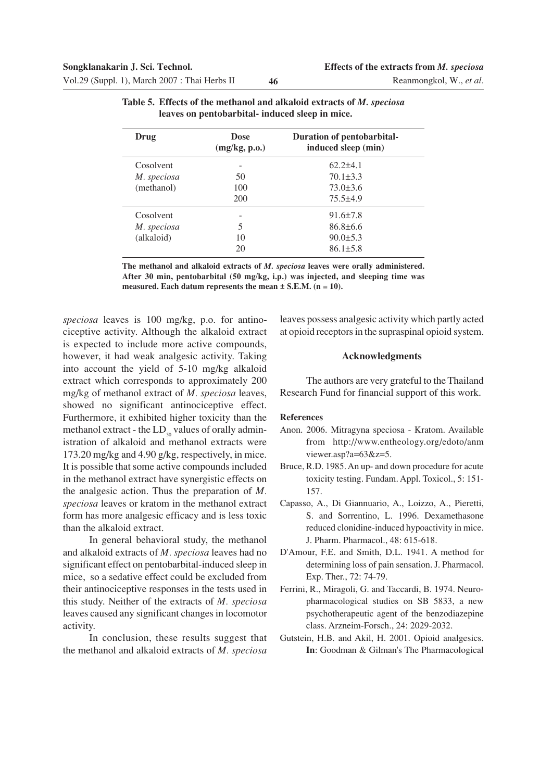| Drug        | <b>Dose</b><br>(mg/kg, p.o.) | Duration of pentobarbital-<br>induced sleep (min) |
|-------------|------------------------------|---------------------------------------------------|
| Cosolvent   |                              | $62.2\pm4.1$                                      |
| M. speciosa | 50                           | $70.1 \pm 3.3$                                    |
| (methanol)  | 100                          | $73.0 \pm 3.6$                                    |
|             | 200                          | $75.5\pm4.9$                                      |
| Cosolvent   |                              | $91.6 \pm 7.8$                                    |
| M. speciosa | 5                            | $86.8\pm 6.6$                                     |
| (alkaloid)  | 10                           | $90.0 \pm 5.3$                                    |
|             | 20                           | $86.1 \pm 5.8$                                    |

|  |                                                 | Table 5. Effects of the methanol and alkaloid extracts of M. speciosa |  |
|--|-------------------------------------------------|-----------------------------------------------------------------------|--|
|  | leaves on pentobarbital- induced sleep in mice. |                                                                       |  |

**The methanol and alkaloid extracts of** *M. speciosa* **leaves were orally administered. After 30 min, pentobarbital (50 mg/kg, i.p.) was injected, and sleeping time was measured. Each datum represents the mean ± S.E.M. (n = 10).**

*speciosa* leaves is 100 mg/kg, p.o. for antinociceptive activity. Although the alkaloid extract is expected to include more active compounds, however, it had weak analgesic activity. Taking into account the yield of 5-10 mg/kg alkaloid extract which corresponds to approximately 200 mg/kg of methanol extract of *M. speciosa* leaves, showed no significant antinociceptive effect. Furthermore, it exhibited higher toxicity than the methanol extract - the  $LD_{50}$  values of orally administration of alkaloid and methanol extracts were 173.20 mg/kg and 4.90 g/kg, respectively, in mice. It is possible that some active compounds included in the methanol extract have synergistic effects on the analgesic action. Thus the preparation of *M. speciosa* leaves or kratom in the methanol extract form has more analgesic efficacy and is less toxic than the alkaloid extract.

In general behavioral study, the methanol and alkaloid extracts of *M. speciosa* leaves had no significant effect on pentobarbital-induced sleep in mice, so a sedative effect could be excluded from their antinociceptive responses in the tests used in this study. Neither of the extracts of *M. speciosa* leaves caused any significant changes in locomotor activity.

In conclusion, these results suggest that the methanol and alkaloid extracts of *M. speciosa*

leaves possess analgesic activity which partly acted at opioid receptors in the supraspinal opioid system.

#### **Acknowledgments**

The authors are very grateful to the Thailand Research Fund for financial support of this work.

#### **References**

- Anon. 2006. Mitragyna speciosa Kratom. Available from http://www.entheology.org/edoto/anm viewer.asp?a=63&z=5.
- Bruce, R.D. 1985. An up- and down procedure for acute toxicity testing. Fundam. Appl. Toxicol., 5: 151- 157.
- Capasso, A., Di Giannuario, A., Loizzo, A., Pieretti, S. and Sorrentino, L. 1996. Dexamethasone reduced clonidine-induced hypoactivity in mice. J. Pharm. Pharmacol., 48: 615-618.
- D'Amour, F.E. and Smith, D.L. 1941. A method for determining loss of pain sensation. J. Pharmacol. Exp. Ther., 72: 74-79.
- Ferrini, R., Miragoli, G. and Taccardi, B. 1974. Neuropharmacological studies on SB 5833, a new psychotherapeutic agent of the benzodiazepine class. Arzneim-Forsch., 24: 2029-2032.
- Gutstein, H.B. and Akil, H. 2001. Opioid analgesics. **In**: Goodman & Gilman's The Pharmacological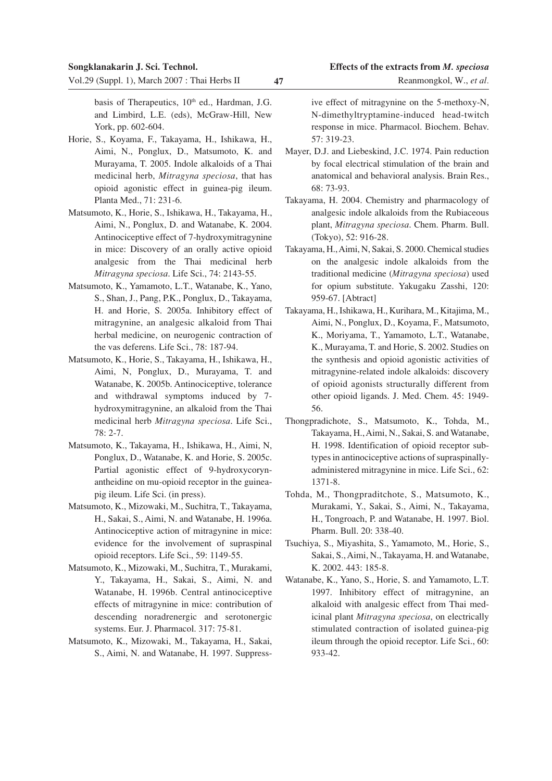basis of Therapeutics, 10<sup>th</sup> ed., Hardman, J.G. and Limbird, L.E. (eds), McGraw-Hill, New York, pp. 602-604.

- Horie, S., Koyama, F., Takayama, H., Ishikawa, H., Aimi, N., Ponglux, D., Matsumoto, K. and Murayama, T. 2005. Indole alkaloids of a Thai medicinal herb, *Mitragyna speciosa*, that has opioid agonistic effect in guinea-pig ileum. Planta Med., 71: 231-6.
- Matsumoto, K., Horie, S., Ishikawa, H., Takayama, H., Aimi, N., Ponglux, D. and Watanabe, K. 2004. Antinociceptive effect of 7-hydroxymitragynine in mice: Discovery of an orally active opioid analgesic from the Thai medicinal herb *Mitragyna speciosa*. Life Sci., 74: 2143-55.
- Matsumoto, K., Yamamoto, L.T., Watanabe, K., Yano, S., Shan, J., Pang, P.K., Ponglux, D., Takayama, H. and Horie, S. 2005a. Inhibitory effect of mitragynine, an analgesic alkaloid from Thai herbal medicine, on neurogenic contraction of the vas deferens. Life Sci., 78: 187-94.
- Matsumoto, K., Horie, S., Takayama, H., Ishikawa, H., Aimi, N, Ponglux, D., Murayama, T. and Watanabe, K. 2005b. Antinociceptive, tolerance and withdrawal symptoms induced by 7 hydroxymitragynine, an alkaloid from the Thai medicinal herb *Mitragyna speciosa*. Life Sci., 78: 2-7.
- Matsumoto, K., Takayama, H., Ishikawa, H., Aimi, N, Ponglux, D., Watanabe, K. and Horie, S. 2005c. Partial agonistic effect of 9-hydroxycorynantheidine on mu-opioid receptor in the guineapig ileum. Life Sci. (in press).
- Matsumoto, K., Mizowaki, M., Suchitra, T., Takayama, H., Sakai, S., Aimi, N. and Watanabe, H. 1996a. Antinociceptive action of mitragynine in mice: evidence for the involvement of supraspinal opioid receptors. Life Sci., 59: 1149-55.
- Matsumoto, K., Mizowaki, M., Suchitra, T., Murakami, Y., Takayama, H., Sakai, S., Aimi, N. and Watanabe, H. 1996b. Central antinociceptive effects of mitragynine in mice: contribution of descending noradrenergic and serotonergic systems. Eur. J. Pharmacol. 317: 75-81.
- Matsumoto, K., Mizowaki, M., Takayama, H., Sakai, S., Aimi, N. and Watanabe, H. 1997. Suppress-

ive effect of mitragynine on the 5-methoxy-N, N-dimethyltryptamine-induced head-twitch response in mice. Pharmacol. Biochem. Behav. 57: 319-23.

- Mayer, D.J. and Liebeskind, J.C. 1974. Pain reduction by focal electrical stimulation of the brain and anatomical and behavioral analysis. Brain Res., 68: 73-93.
- Takayama, H. 2004. Chemistry and pharmacology of analgesic indole alkaloids from the Rubiaceous plant, *Mitragyna speciosa*. Chem. Pharm. Bull. (Tokyo), 52: 916-28.
- Takayama, H., Aimi, N, Sakai, S. 2000. Chemical studies on the analgesic indole alkaloids from the traditional medicine (*Mitragyna speciosa*) used for opium substitute. Yakugaku Zasshi, 120: 959-67. [Abtract]
- Takayama, H., Ishikawa, H., Kurihara, M., Kitajima, M., Aimi, N., Ponglux, D., Koyama, F., Matsumoto, K., Moriyama, T., Yamamoto, L.T., Watanabe, K., Murayama, T. and Horie, S. 2002. Studies on the synthesis and opioid agonistic activities of mitragynine-related indole alkaloids: discovery of opioid agonists structurally different from other opioid ligands. J. Med. Chem. 45: 1949- 56.
- Thongpradichote, S., Matsumoto, K., Tohda, M., Takayama, H., Aimi, N., Sakai, S. and Watanabe, H. 1998. Identification of opioid receptor subtypes in antinociceptive actions of supraspinallyadministered mitragynine in mice. Life Sci., 62: 1371-8.
- Tohda, M., Thongpraditchote, S., Matsumoto, K., Murakami, Y., Sakai, S., Aimi, N., Takayama, H., Tongroach, P. and Watanabe, H. 1997. Biol. Pharm. Bull. 20: 338-40.
- Tsuchiya, S., Miyashita, S., Yamamoto, M., Horie, S., Sakai, S., Aimi, N., Takayama, H. and Watanabe, K. 2002. 443: 185-8.
- Watanabe, K., Yano, S., Horie, S. and Yamamoto, L.T. 1997. Inhibitory effect of mitragynine, an alkaloid with analgesic effect from Thai medicinal plant *Mitragyna speciosa*, on electrically stimulated contraction of isolated guinea-pig ileum through the opioid receptor. Life Sci., 60: 933-42.